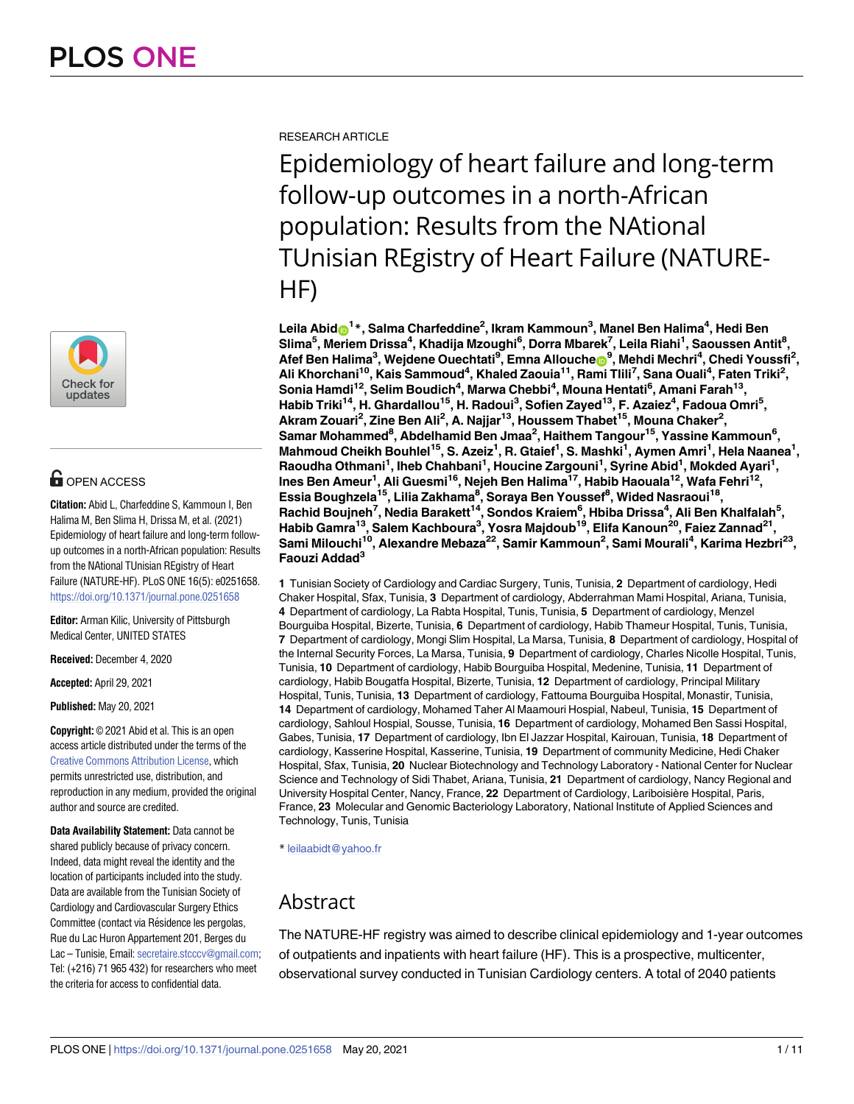

# **OPEN ACCESS**

**Citation:** Abid L, Charfeddine S, Kammoun I, Ben Halima M, Ben Slima H, Drissa M, et al. (2021) Epidemiology of heart failure and long-term followup outcomes in a north-African population: Results from the NAtional TUnisian REgistry of Heart Failure (NATURE-HF). PLoS ONE 16(5): e0251658. <https://doi.org/10.1371/journal.pone.0251658>

**Editor:** Arman Kilic, University of Pittsburgh Medical Center, UNITED STATES

**Received:** December 4, 2020

**Accepted:** April 29, 2021

**Published:** May 20, 2021

**Copyright:** © 2021 Abid et al. This is an open access article distributed under the terms of the Creative Commons [Attribution](http://creativecommons.org/licenses/by/4.0/) License, which permits unrestricted use, distribution, and reproduction in any medium, provided the original author and source are credited.

**Data Availability Statement:** Data cannot be shared publicly because of privacy concern. Indeed, data might reveal the identity and the location of participants included into the study. Data are available from the Tunisian Society of Cardiology and Cardiovascular Surgery Ethics Committee (contact via Résidence les pergolas, Rue du Lac Huron Appartement 201, Berges du Lac – Tunisie, Email: [secretaire.stcccv@gmail.com](mailto:secretaire.stcccv@gmail.com); Tel: (+216) 71 965 432) for researchers who meet the criteria for access to confidential data.

RESEARCH ARTICLE

Epidemiology of heart failure and long-term follow-up outcomes in a north-African population: Results from the NAtional TUnisian REgistry of Heart Failure (NATURE-HF)

 $\mathsf{L}$ eila Abid $\mathsf{D}^{1*}$ , Salma Charfeddine<sup>2</sup>, Ikram Kammoun $^3$ , Manel Ben Halima $^4$ , Hedi Ben  $\blacksquare$ 5, Meriem Drissa $^4$ , Khadija Mzoughi $^6$ , Dorra Mbarek $^7$ , Leila Riahi $^1$ , Saoussen Antit $^8$ ,  $\mathbf{A}$ fef Ben Halima<sup>3</sup>, Wejdene Ouechtati<sup>9</sup>, Emna Allouchen<sup>9</sup>, Mehdi Mechri<sup>4</sup>, Chedi Youssfi<sup>2</sup>,  $\blacksquare$ Ali Khorchani<sup>10</sup>, Kais Sammoud<sup>4</sup>, Khaled Zaouia<sup>11</sup>, Rami Tlili<sup>7</sup>, Sana Ouali<sup>4</sup>, Faten Triki<sup>2</sup>, **Sonia Hamdi12, Selim Boudich4 , Marwa Chebbi4 , Mouna Hentati6 , Amani Farah13, Habib Triki14, H. Ghardallou15, H. Radoui3 , Sofien Zayed13, F. Azaiez4 , Fadoua Omri5 , Akram Zouari2 , Zine Ben Ali<sup>2</sup> , A. Najjar13, Houssem Thabet15, Mouna Chaker2 ,**  $\mathbf{S}$ amar Mohammed<sup>8</sup>, Abdelhamid Ben Jmaa<sup>2</sup>, Haithem Tangour<sup>15</sup>, Yassine Kammoun<sup>6</sup>, **Mahmoud Cheikh Bouhlel15, S. Azeiz1 , R. Gtaief1 , S. Mashki1 , Aymen Amri1 , Hela Naanea1 , Raoudha Othmani1 , Iheb Chahbani1 , Houcine Zargouni1 , Syrine Abid1 , Mokded Ayari1 , Ines Ben Ameur1 , Ali Guesmi16, Nejeh Ben Halima17, Habib Haouala12, Wafa Fehri12,**  $\boldsymbol{\mathsf{E}}$ ssia Boughzela $^{15}$ , Lilia Zakhama $^{8}$ , Soraya Ben Youssef $^{8}$ , Wided Nasraoui $^{18}$ , **Rachid Boujneh7 , Nedia Barakett14, Sondos Kraiem6 , Hbiba Drissa4 , Ali Ben Khalfalah5 , Habib Gamra13, Salem Kachboura3 , Yosra Majdoub19, Elifa Kanoun20, Faiez Zannad21, Sami Milouchi10, Alexandre Mebaza22, Samir Kammoun2 , Sami Mourali4 , Karima Hezbri23, Faouzi Addad3**

**1** Tunisian Society of Cardiology and Cardiac Surgery, Tunis, Tunisia, **2** Department of cardiology, Hedi Chaker Hospital, Sfax, Tunisia, **3** Department of cardiology, Abderrahman Mami Hospital, Ariana, Tunisia, **4** Department of cardiology, La Rabta Hospital, Tunis, Tunisia, **5** Department of cardiology, Menzel Bourguiba Hospital, Bizerte, Tunisia, **6** Department of cardiology, Habib Thameur Hospital, Tunis, Tunisia, **7** Department of cardiology, Mongi Slim Hospital, La Marsa, Tunisia, **8** Department of cardiology, Hospital of the Internal Security Forces, La Marsa, Tunisia, **9** Department of cardiology, Charles Nicolle Hospital, Tunis, Tunisia, **10** Department of cardiology, Habib Bourguiba Hospital, Medenine, Tunisia, **11** Department of cardiology, Habib Bougatfa Hospital, Bizerte, Tunisia, **12** Department of cardiology, Principal Military Hospital, Tunis, Tunisia, **13** Department of cardiology, Fattouma Bourguiba Hospital, Monastir, Tunisia, **14** Department of cardiology, Mohamed Taher Al Maamouri Hospial, Nabeul, Tunisia, **15** Department of cardiology, Sahloul Hospial, Sousse, Tunisia, **16** Department of cardiology, Mohamed Ben Sassi Hospital, Gabes, Tunisia, **17** Department of cardiology, Ibn El Jazzar Hospital, Kairouan, Tunisia, **18** Department of cardiology, Kasserine Hospital, Kasserine, Tunisia, **19** Department of community Medicine, Hedi Chaker Hospital, Sfax, Tunisia, **20** Nuclear Biotechnology and Technology Laboratory - National Center for Nuclear Science and Technology of Sidi Thabet, Ariana, Tunisia, **21** Department of cardiology, Nancy Regional and University Hospital Center, Nancy, France, **22** Department of Cardiology, Lariboisière Hospital, Paris, France, **23** Molecular and Genomic Bacteriology Laboratory, National Institute of Applied Sciences and Technology, Tunis, Tunisia

\* leilaabidt@yahoo.fr

# Abstract

The NATURE-HF registry was aimed to describe clinical epidemiology and 1-year outcomes of outpatients and inpatients with heart failure (HF). This is a prospective, multicenter, observational survey conducted in Tunisian Cardiology centers. A total of 2040 patients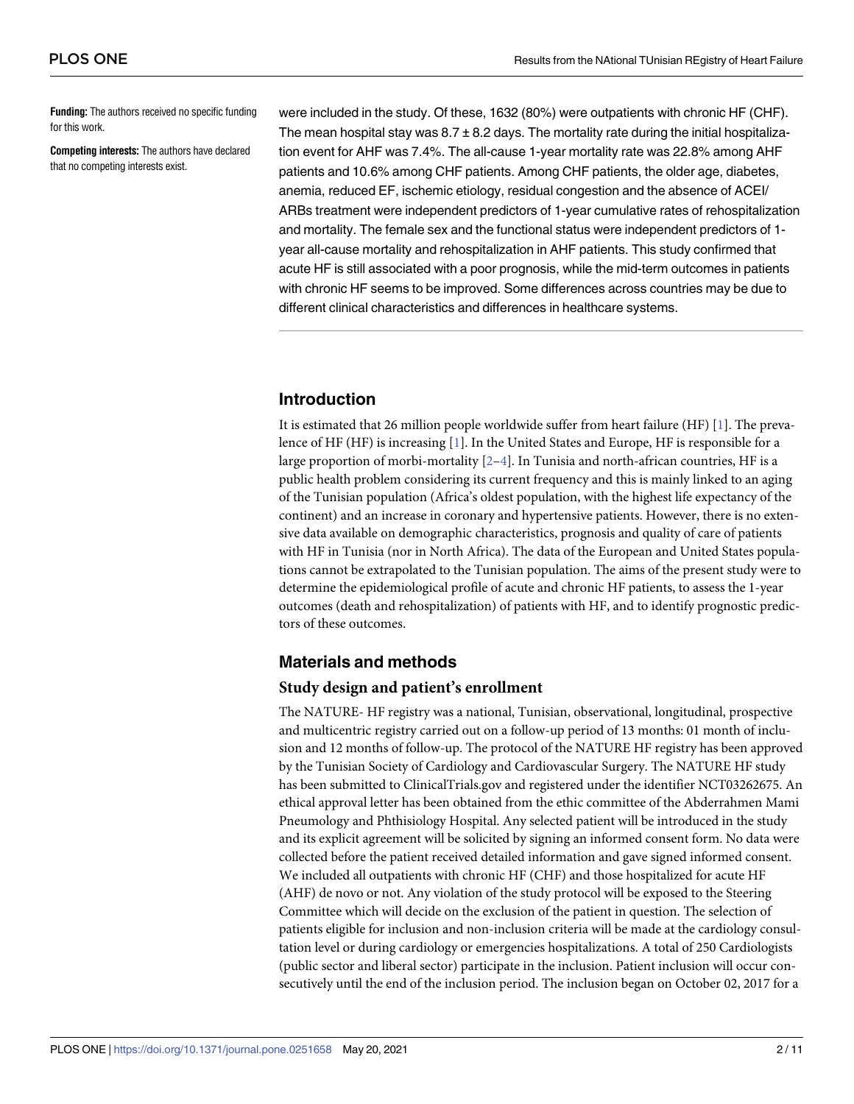<span id="page-1-0"></span>**Funding:** The authors received no specific funding for this work.

**Competing interests:** The authors have declared that no competing interests exist.

were included in the study. Of these, 1632 (80%) were outpatients with chronic HF (CHF). The mean hospital stay was  $8.7 \pm 8.2$  days. The mortality rate during the initial hospitalization event for AHF was 7.4%. The all-cause 1-year mortality rate was 22.8% among AHF patients and 10.6% among CHF patients. Among CHF patients, the older age, diabetes, anemia, reduced EF, ischemic etiology, residual congestion and the absence of ACEI/ ARBs treatment were independent predictors of 1-year cumulative rates of rehospitalization and mortality. The female sex and the functional status were independent predictors of 1 year all-cause mortality and rehospitalization in AHF patients. This study confirmed that acute HF is still associated with a poor prognosis, while the mid-term outcomes in patients with chronic HF seems to be improved. Some differences across countries may be due to different clinical characteristics and differences in healthcare systems.

# **Introduction**

It is estimated that 26 million people worldwide suffer from heart failure (HF) [\[1](#page-9-0)]. The prevalence of HF (HF) is increasing [\[1](#page-9-0)]. In the United States and Europe, HF is responsible for a large proportion of morbi-mortality  $[2-4]$ . In Tunisia and north-african countries, HF is a public health problem considering its current frequency and this is mainly linked to an aging of the Tunisian population (Africa's oldest population, with the highest life expectancy of the continent) and an increase in coronary and hypertensive patients. However, there is no extensive data available on demographic characteristics, prognosis and quality of care of patients with HF in Tunisia (nor in North Africa). The data of the European and United States populations cannot be extrapolated to the Tunisian population. The aims of the present study were to determine the epidemiological profile of acute and chronic HF patients, to assess the 1-year outcomes (death and rehospitalization) of patients with HF, and to identify prognostic predictors of these outcomes.

# **Materials and methods**

### **Study design and patient's enrollment**

The NATURE- HF registry was a national, Tunisian, observational, longitudinal, prospective and multicentric registry carried out on a follow-up period of 13 months: 01 month of inclusion and 12 months of follow-up. The protocol of the NATURE HF registry has been approved by the Tunisian Society of Cardiology and Cardiovascular Surgery. The NATURE HF study has been submitted to ClinicalTrials.gov and registered under the identifier NCT03262675. An ethical approval letter has been obtained from the ethic committee of the Abderrahmen Mami Pneumology and Phthisiology Hospital. Any selected patient will be introduced in the study and its explicit agreement will be solicited by signing an informed consent form. No data were collected before the patient received detailed information and gave signed informed consent. We included all outpatients with chronic HF (CHF) and those hospitalized for acute HF (AHF) de novo or not. Any violation of the study protocol will be exposed to the Steering Committee which will decide on the exclusion of the patient in question. The selection of patients eligible for inclusion and non-inclusion criteria will be made at the cardiology consultation level or during cardiology or emergencies hospitalizations. A total of 250 Cardiologists (public sector and liberal sector) participate in the inclusion. Patient inclusion will occur consecutively until the end of the inclusion period. The inclusion began on October 02, 2017 for a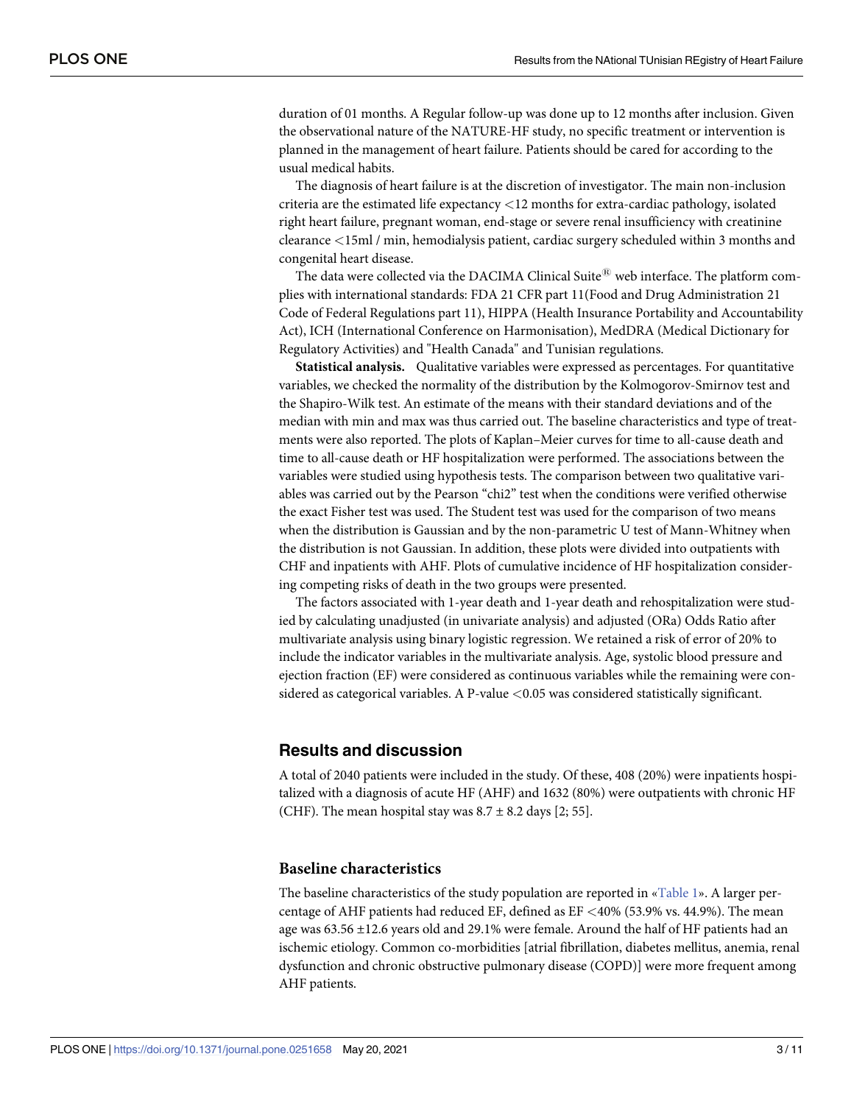<span id="page-2-0"></span>duration of 01 months. A Regular follow-up was done up to 12 months after inclusion. Given the observational nature of the NATURE-HF study, no specific treatment or intervention is planned in the management of heart failure. Patients should be cared for according to the usual medical habits.

The diagnosis of heart failure is at the discretion of investigator. The main non-inclusion criteria are the estimated life expectancy *<*12 months for extra-cardiac pathology, isolated right heart failure, pregnant woman, end-stage or severe renal insufficiency with creatinine clearance *<*15ml / min, hemodialysis patient, cardiac surgery scheduled within 3 months and congenital heart disease.

The data were collected via the DACIMA Clinical Suite $^{\textcircled{\tiny{\textregistered}} }$  web interface. The platform complies with international standards: FDA 21 CFR part 11(Food and Drug Administration 21 Code of Federal Regulations part 11), HIPPA (Health Insurance Portability and Accountability Act), ICH (International Conference on Harmonisation), MedDRA (Medical Dictionary for Regulatory Activities) and "Health Canada" and Tunisian regulations.

**Statistical analysis.** Qualitative variables were expressed as percentages. For quantitative variables, we checked the normality of the distribution by the Kolmogorov-Smirnov test and the Shapiro-Wilk test. An estimate of the means with their standard deviations and of the median with min and max was thus carried out. The baseline characteristics and type of treatments were also reported. The plots of Kaplan–Meier curves for time to all-cause death and time to all-cause death or HF hospitalization were performed. The associations between the variables were studied using hypothesis tests. The comparison between two qualitative variables was carried out by the Pearson "chi2" test when the conditions were verified otherwise the exact Fisher test was used. The Student test was used for the comparison of two means when the distribution is Gaussian and by the non-parametric U test of Mann-Whitney when the distribution is not Gaussian. In addition, these plots were divided into outpatients with CHF and inpatients with AHF. Plots of cumulative incidence of HF hospitalization considering competing risks of death in the two groups were presented.

The factors associated with 1-year death and 1-year death and rehospitalization were studied by calculating unadjusted (in univariate analysis) and adjusted (ORa) Odds Ratio after multivariate analysis using binary logistic regression. We retained a risk of error of 20% to include the indicator variables in the multivariate analysis. Age, systolic blood pressure and ejection fraction (EF) were considered as continuous variables while the remaining were considered as categorical variables. A P-value *<*0.05 was considered statistically significant.

## **Results and discussion**

A total of 2040 patients were included in the study. Of these, 408 (20%) were inpatients hospitalized with a diagnosis of acute HF (AHF) and 1632 (80%) were outpatients with chronic HF (CHF). The mean hospital stay was  $8.7 \pm 8.2$  days [2; 55].

### **Baseline characteristics**

The baseline characteristics of the study population are reported in «[Table](#page-3-0) 1». A larger percentage of AHF patients had reduced EF, defined as EF *<*40% (53.9% vs. 44.9%). The mean age was 63.56 ±12.6 years old and 29.1% were female. Around the half of HF patients had an ischemic etiology. Common co-morbidities [atrial fibrillation, diabetes mellitus, anemia, renal dysfunction and chronic obstructive pulmonary disease (COPD)] were more frequent among AHF patients.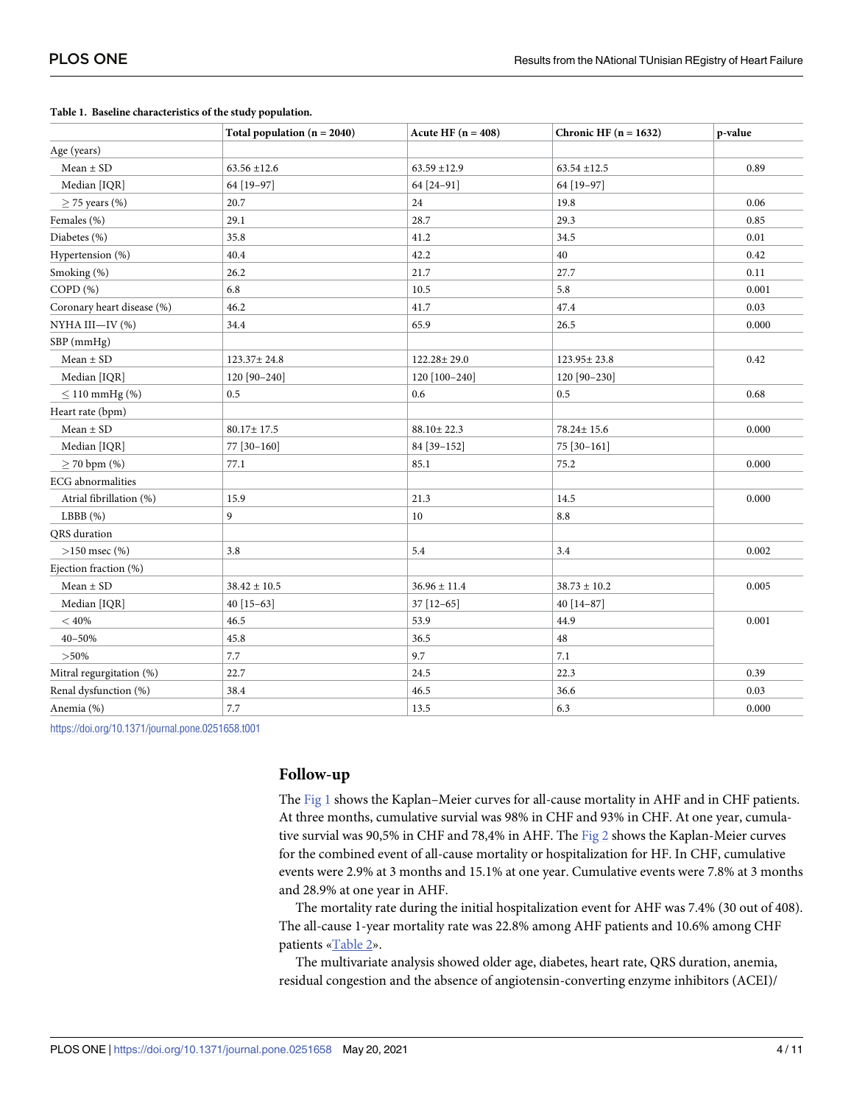|                            | Total population $(n = 2040)$ | Acute HF $(n = 408)$ | Chronic HF $(n = 1632)$ | p-value |
|----------------------------|-------------------------------|----------------------|-------------------------|---------|
| Age (years)                |                               |                      |                         |         |
| $Mean \pm SD$              | $63.56 \pm 12.6$              | $63.59 \pm 12.9$     | $63.54 \pm 12.5$        | 0.89    |
| Median [IQR]               | 64 [19-97]                    | 64 [24-91]           | 64 [19-97]              |         |
| $\geq$ 75 years (%)        | 20.7                          | 24                   | 19.8                    | 0.06    |
| Females (%)                | 29.1                          | 28.7                 | 29.3                    | 0.85    |
| Diabetes (%)               | 35.8                          | 41.2                 | 34.5                    | 0.01    |
| Hypertension (%)           | 40.4                          | 42.2                 | 40                      | 0.42    |
| Smoking (%)                | 26.2                          | 21.7                 | 27.7                    | 0.11    |
| COPD (%)                   | 6.8                           | 10.5                 | 5.8                     | 0.001   |
| Coronary heart disease (%) | 46.2                          | 41.7                 | 47.4                    | 0.03    |
| NYHA III-IV (%)            | 34.4                          | 65.9                 | 26.5                    | 0.000   |
| SBP (mmHg)                 |                               |                      |                         |         |
| $Mean \pm SD$              | 123.37±24.8                   | 122.28±29.0          | 123.95±23.8             | 0.42    |
| Median [IQR]               | 120 [90-240]                  | 120 [100-240]        | 120 [90-230]            |         |
| $\leq$ 110 mmHg (%)        | 0.5                           | 0.6                  | 0.5                     | 0.68    |
| Heart rate (bpm)           |                               |                      |                         |         |
| $Mean \pm SD$              | $80.17 \pm 17.5$              | $88.10 \pm 22.3$     | 78.24± 15.6             | 0.000   |
| Median [IQR]               | 77 [30-160]                   | 84 [39-152]          | 75 [30-161]             |         |
| $\geq$ 70 bpm (%)          | 77.1                          | 85.1                 | 75.2                    | 0.000   |
| <b>ECG</b> abnormalities   |                               |                      |                         |         |
| Atrial fibrillation (%)    | 15.9                          | 21.3                 | 14.5                    | 0.000   |
| LBBB(%)                    | 9                             | 10                   | $8.8\,$                 |         |
| QRS duration               |                               |                      |                         |         |
| $>150$ msec $(\% )$        | 3.8                           | 5.4                  | 3.4                     | 0.002   |
| Ejection fraction (%)      |                               |                      |                         |         |
| $Mean \pm SD$              | $38.42 \pm 10.5$              | $36.96 \pm 11.4$     | $38.73 \pm 10.2$        | 0.005   |
| Median [IQR]               | 40 [15-63]                    | 37 [12-65]           | 40 [14-87]              |         |
| $<40\%$                    | 46.5                          | 53.9                 | 44.9                    | 0.001   |
| 40-50%                     | 45.8                          | 36.5                 | 48                      |         |
| $> 50\%$                   | 7.7                           | 9.7                  | 7.1                     |         |
| Mitral regurgitation (%)   | 22.7                          | 24.5                 | 22.3                    | 0.39    |
| Renal dysfunction (%)      | 38.4                          | 46.5                 | 36.6                    | 0.03    |
| Anemia (%)                 | $7.7\,$                       | 13.5                 | 6.3                     | 0.000   |

#### <span id="page-3-0"></span>**[Table](#page-2-0) 1. Baseline characteristics of the study population.**

<https://doi.org/10.1371/journal.pone.0251658.t001>

### **Follow-up**

The [Fig](#page-4-0) 1 shows the Kaplan–Meier curves for all-cause mortality in AHF and in CHF patients. At three months, cumulative survial was 98% in CHF and 93% in CHF. At one year, cumulative survial was 90,5% in CHF and 78,4% in AHF. The [Fig](#page-4-0) 2 shows the Kaplan-Meier curves for the combined event of all-cause mortality or hospitalization for HF. In CHF, cumulative events were 2.9% at 3 months and 15.1% at one year. Cumulative events were 7.8% at 3 months and 28.9% at one year in AHF.

The mortality rate during the initial hospitalization event for AHF was 7.4% (30 out of 408). The all-cause 1-year mortality rate was 22.8% among AHF patients and 10.6% among CHF patients [«Table](#page-4-0) 2».

The multivariate analysis showed older age, diabetes, heart rate, QRS duration, anemia, residual congestion and the absence of angiotensin-converting enzyme inhibitors (ACEI)/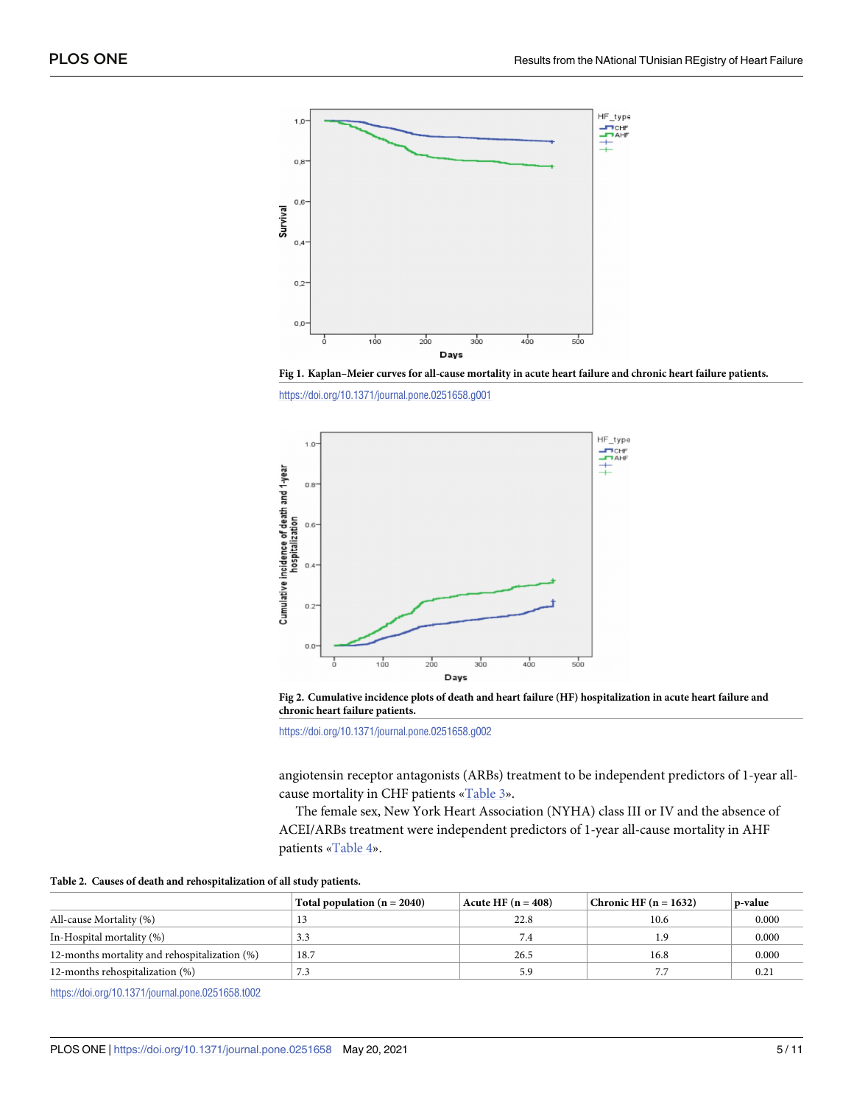<span id="page-4-0"></span>

**[Fig](#page-3-0) 1. Kaplan–Meier curves for all-cause mortality in acute heart failure and chronic heart failure patients.**

<https://doi.org/10.1371/journal.pone.0251658.g001>



[Fig](#page-3-0) 2. Cumulative incidence plots of death and heart failure (HF) hospitalization in acute heart failure and **chronic heart failure patients.**

<https://doi.org/10.1371/journal.pone.0251658.g002>

angiotensin receptor antagonists (ARBs) treatment to be independent predictors of 1-year allcause mortality in CHF patients [«Table](#page-5-0) 3».

The female sex, New York Heart Association (NYHA) class III or IV and the absence of ACEI/ARBs treatment were independent predictors of 1-year all-cause mortality in AHF patients [«Table](#page-5-0) 4».

|                                               | Total population $(n = 2040)$ | $ $ Acute HF $(n = 408)$ | Chronic HF $(n = 1632)$ | p-value |
|-----------------------------------------------|-------------------------------|--------------------------|-------------------------|---------|
| All-cause Mortality (%)                       |                               | 22.8                     | 10.6                    | 0.000   |
| In-Hospital mortality (%)                     | 3.3                           |                          |                         | 0.000   |
| 12-months mortality and rehospitalization (%) | 18.7                          | 26.5                     | 16.8                    | 0.000   |
| 12-months rehospitalization (%)               | د. ا                          | 5.9                      |                         | 0.21    |

<https://doi.org/10.1371/journal.pone.0251658.t002>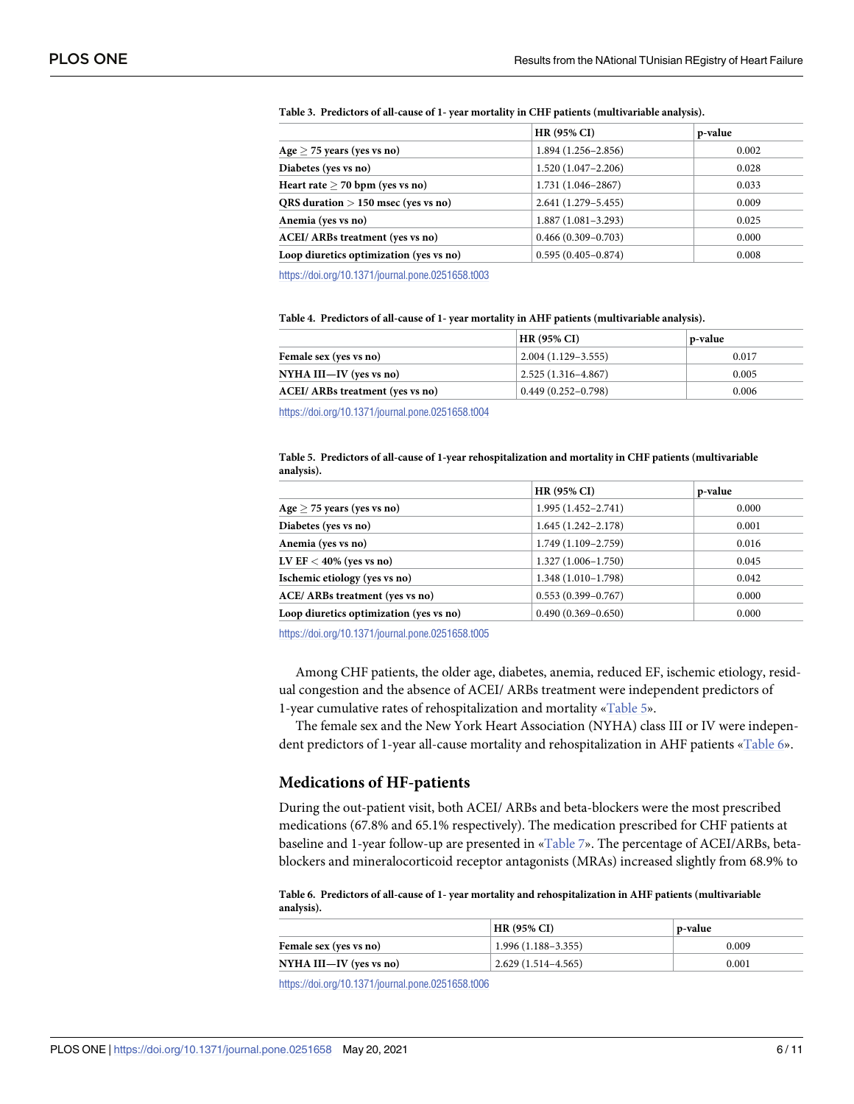|                                         | <b>HR (95% CI)</b>     | p-value |
|-----------------------------------------|------------------------|---------|
| Age $\geq$ 75 years (yes vs no)         | $1.894(1.256 - 2.856)$ | 0.002   |
| Diabetes (yes vs no)                    | $1.520(1.047 - 2.206)$ | 0.028   |
| Heart rate $> 70$ bpm (yes vs no)       | $1.731(1.046 - 2867)$  | 0.033   |
| QRS duration $> 150$ msec (yes vs no)   | $2.641(1.279 - 5.455)$ | 0.009   |
| Anemia (yes vs no)                      | $1.887(1.081 - 3.293)$ | 0.025   |
| <b>ACEI/ ARBs treatment (yes vs no)</b> | $0.466(0.309 - 0.703)$ | 0.000   |
| Loop diuretics optimization (yes vs no) | $0.595(0.405 - 0.874)$ | 0.008   |

#### <span id="page-5-0"></span>**[Table](#page-4-0) 3. Predictors of all-cause of 1- year mortality in CHF patients (multivariable analysis).**

<https://doi.org/10.1371/journal.pone.0251658.t003>

| Table 4. Predictors of all-cause of 1- year mortality in AHF patients (multivariable analysis). |  |  |  |
|-------------------------------------------------------------------------------------------------|--|--|--|
|-------------------------------------------------------------------------------------------------|--|--|--|

|                                  | HR (95% CI)            | p-value |
|----------------------------------|------------------------|---------|
| Female sex (yes vs no)           | $2.004(1.129-3.555)$   | 0.017   |
| NYHA III—IV (yes vs no)          | $2.525(1.316 - 4.867)$ | 0.005   |
| ACEI/ ARBs treatment (yes vs no) | $0.449(0.252 - 0.798)$ | 0.006   |
|                                  |                        |         |

<https://doi.org/10.1371/journal.pone.0251658.t004>

#### **Table 5. Predictors of all-cause of 1-year rehospitalization and mortality in CHF patients (multivariable analysis).**

|                                         | <b>HR (95% CI)</b>     | p-value |
|-----------------------------------------|------------------------|---------|
| Age $\geq$ 75 years (yes vs no)         | $1.995(1.452 - 2.741)$ | 0.000   |
| Diabetes (yes vs no)                    | $1.645(1.242 - 2.178)$ | 0.001   |
| Anemia (yes vs no)                      | 1.749 (1.109-2.759)    | 0.016   |
| LV EF $<$ 40% (yes vs no)               | $1.327(1.006 - 1.750)$ | 0.045   |
| Ischemic etiology (yes vs no)           | $1.348(1.010-1.798)$   | 0.042   |
| ACE/ ARBs treatment (yes vs no)         | $0.553(0.399 - 0.767)$ | 0.000   |
| Loop diuretics optimization (yes vs no) | $0.490(0.369 - 0.650)$ | 0.000   |
|                                         |                        |         |

<https://doi.org/10.1371/journal.pone.0251658.t005>

Among CHF patients, the older age, diabetes, anemia, reduced EF, ischemic etiology, residual congestion and the absence of ACEI/ ARBs treatment were independent predictors of 1-year cumulative rates of rehospitalization and mortality «Table 5».

The female sex and the New York Heart Association (NYHA) class III or IV were independent predictors of 1-year all-cause mortality and rehospitalization in AHF patients «Table 6».

### **Medications of HF-patients**

During the out-patient visit, both ACEI/ ARBs and beta-blockers were the most prescribed medications (67.8% and 65.1% respectively). The medication prescribed for CHF patients at baseline and 1-year follow-up are presented in [«Table](#page-6-0) 7». The percentage of ACEI/ARBs, betablockers and mineralocorticoid receptor antagonists (MRAs) increased slightly from 68.9% to

### **Table 6. Predictors of all-cause of 1- year mortality and rehospitalization in AHF patients (multivariable analysis).**

|                         | $HR(95\% CI)$            | p-value |
|-------------------------|--------------------------|---------|
| Female sex (yes vs no)  | $1.996(1.188 - 3.355)$   | 0.009   |
| NYHA III—IV (yes vs no) | $(2.629(1.514 - 4.565))$ | 0.001   |

<https://doi.org/10.1371/journal.pone.0251658.t006>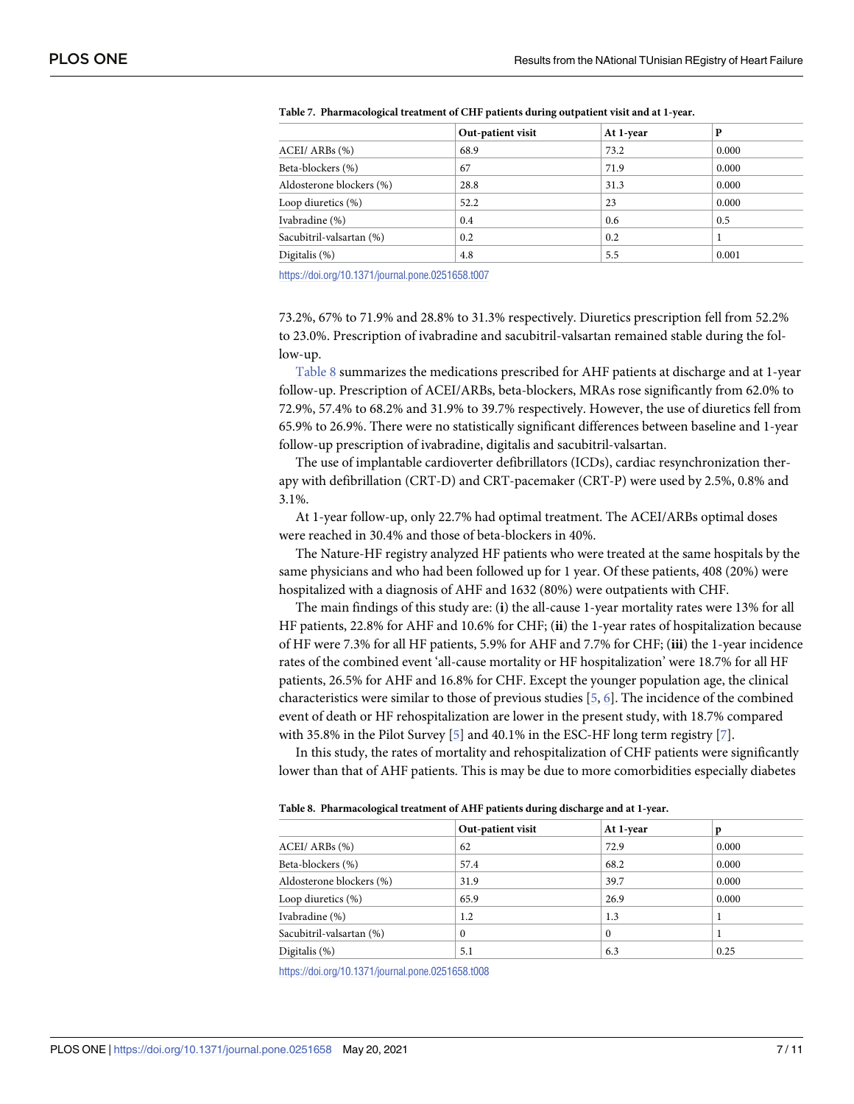|                          | Out-patient visit | At 1-year | D     |
|--------------------------|-------------------|-----------|-------|
| ACEI/ ARBs (%)           | 68.9              | 73.2      | 0.000 |
| Beta-blockers (%)        | 67                | 71.9      | 0.000 |
| Aldosterone blockers (%) | 28.8              | 31.3      | 0.000 |
| Loop diuretics (%)       | 52.2              | 23        | 0.000 |
| Ivabradine (%)           | 0.4               | 0.6       | 0.5   |
| Sacubitril-valsartan (%) | 0.2               | 0.2       |       |
| Digitalis (%)            | 4.8               | 5.5       | 0.001 |

<span id="page-6-0"></span>**[Table](#page-5-0) 7. Pharmacological treatment of CHF patients during outpatient visit and at 1-year.**

<https://doi.org/10.1371/journal.pone.0251658.t007>

73.2%, 67% to 71.9% and 28.8% to 31.3% respectively. Diuretics prescription fell from 52.2% to 23.0%. Prescription of ivabradine and sacubitril-valsartan remained stable during the follow-up.

Table 8 summarizes the medications prescribed for AHF patients at discharge and at 1-year follow-up. Prescription of ACEI/ARBs, beta-blockers, MRAs rose significantly from 62.0% to 72.9%, 57.4% to 68.2% and 31.9% to 39.7% respectively. However, the use of diuretics fell from 65.9% to 26.9%. There were no statistically significant differences between baseline and 1-year follow-up prescription of ivabradine, digitalis and sacubitril-valsartan.

The use of implantable cardioverter defibrillators (ICDs), cardiac resynchronization therapy with defibrillation (CRT-D) and CRT-pacemaker (CRT-P) were used by 2.5%, 0.8% and 3.1%.

At 1-year follow-up, only 22.7% had optimal treatment. The ACEI/ARBs optimal doses were reached in 30.4% and those of beta-blockers in 40%.

The Nature-HF registry analyzed HF patients who were treated at the same hospitals by the same physicians and who had been followed up for 1 year. Of these patients, 408 (20%) were hospitalized with a diagnosis of AHF and 1632 (80%) were outpatients with CHF.

The main findings of this study are: (**i**) the all-cause 1-year mortality rates were 13% for all HF patients, 22.8% for AHF and 10.6% for CHF; (**ii**) the 1-year rates of hospitalization because of HF were 7.3% for all HF patients, 5.9% for AHF and 7.7% for CHF; (**iii**) the 1-year incidence rates of the combined event 'all-cause mortality or HF hospitalization' were 18.7% for all HF patients, 26.5% for AHF and 16.8% for CHF. Except the younger population age, the clinical characteristics were similar to those of previous studies [[5](#page-9-0), [6\]](#page-9-0). The incidence of the combined event of death or HF rehospitalization are lower in the present study, with 18.7% compared with 35.8% in the Pilot Survey [[5\]](#page-9-0) and 40.1% in the ESC-HF long term registry [[7](#page-9-0)].

In this study, the rates of mortality and rehospitalization of CHF patients were significantly lower than that of AHF patients. This is may be due to more comorbidities especially diabetes

|                          | Out-patient visit | At 1-year | p     |
|--------------------------|-------------------|-----------|-------|
| $ACEI/ARBs$ $%$          | 62                | 72.9      | 0.000 |
| Beta-blockers (%)        | 57.4              | 68.2      | 0.000 |
| Aldosterone blockers (%) | 31.9              | 39.7      | 0.000 |
| Loop diuretics $(\%)$    | 65.9              | 26.9      | 0.000 |
| Ivabradine (%)           | 1.2               | 1.3       |       |
| Sacubitril-valsartan (%) | 0                 | $\Omega$  |       |
| Digitalis $(\%)$         | 5.1               | 6.3       | 0.25  |

**Table 8. Pharmacological treatment of AHF patients during discharge and at 1-year.**

<https://doi.org/10.1371/journal.pone.0251658.t008>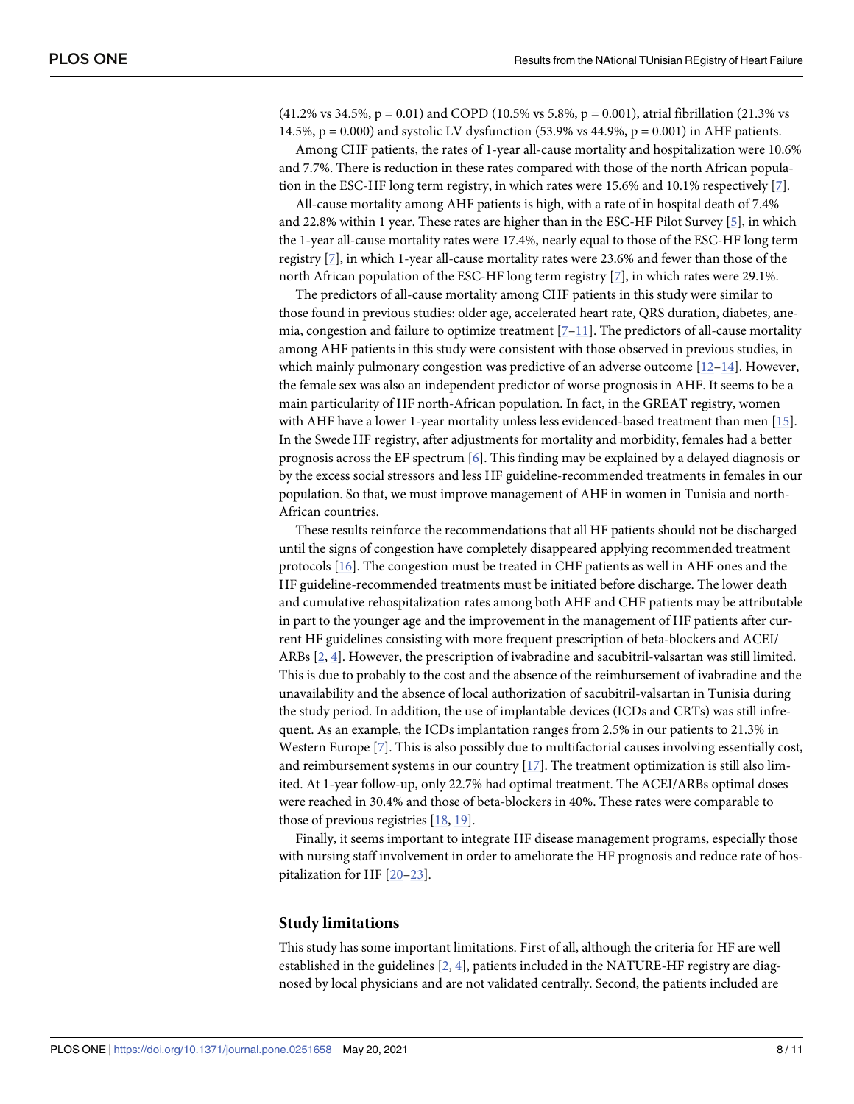<span id="page-7-0"></span> $(41.2\% \text{ vs } 34.5\%, \text{ p} = 0.01)$  and COPD  $(10.5\% \text{ vs } 5.8\%, \text{ p} = 0.001)$ , atrial fibrillation  $(21.3\% \text{ vs } 5.8\% \text{ or } 5.8\% \text{ or } 5.8\% \text{ or } 5.8\% \text{ or } 5.8\% \text{ or } 5.8\% \text{ or } 5.8\% \text{ or } 5.8\% \text{ or } 5.8\% \text{ or } 5.8\% \text{ or }$ 14.5%,  $p = 0.000$ ) and systolic LV dysfunction (53.9% vs 44.9%,  $p = 0.001$ ) in AHF patients.

Among CHF patients, the rates of 1-year all-cause mortality and hospitalization were 10.6% and 7.7%. There is reduction in these rates compared with those of the north African population in the ESC-HF long term registry, in which rates were 15.6% and 10.1% respectively [\[7](#page-9-0)].

All-cause mortality among AHF patients is high, with a rate of in hospital death of 7.4% and 22.8% within 1 year. These rates are higher than in the ESC-HF Pilot Survey [[5\]](#page-9-0), in which the 1-year all-cause mortality rates were 17.4%, nearly equal to those of the ESC-HF long term registry [[7](#page-9-0)], in which 1-year all-cause mortality rates were 23.6% and fewer than those of the north African population of the ESC-HF long term registry [[7](#page-9-0)], in which rates were 29.1%.

The predictors of all-cause mortality among CHF patients in this study were similar to those found in previous studies: older age, accelerated heart rate, QRS duration, diabetes, anemia, congestion and failure to optimize treatment  $[7-11]$ . The predictors of all-cause mortality among AHF patients in this study were consistent with those observed in previous studies, in which mainly pulmonary congestion was predictive of an adverse outcome  $[12-14]$ . However, the female sex was also an independent predictor of worse prognosis in AHF. It seems to be a main particularity of HF north-African population. In fact, in the GREAT registry, women with AHF have a lower 1-year mortality unless less evidenced-based treatment than men [[15](#page-10-0)]. In the Swede HF registry, after adjustments for mortality and morbidity, females had a better prognosis across the EF spectrum [[6\]](#page-9-0). This finding may be explained by a delayed diagnosis or by the excess social stressors and less HF guideline-recommended treatments in females in our population. So that, we must improve management of AHF in women in Tunisia and north-African countries.

These results reinforce the recommendations that all HF patients should not be discharged until the signs of congestion have completely disappeared applying recommended treatment protocols [\[16\]](#page-10-0). The congestion must be treated in CHF patients as well in AHF ones and the HF guideline-recommended treatments must be initiated before discharge. The lower death and cumulative rehospitalization rates among both AHF and CHF patients may be attributable in part to the younger age and the improvement in the management of HF patients after current HF guidelines consisting with more frequent prescription of beta-blockers and ACEI/ ARBs [\[2,](#page-9-0) [4](#page-9-0)]. However, the prescription of ivabradine and sacubitril-valsartan was still limited. This is due to probably to the cost and the absence of the reimbursement of ivabradine and the unavailability and the absence of local authorization of sacubitril-valsartan in Tunisia during the study period. In addition, the use of implantable devices (ICDs and CRTs) was still infrequent. As an example, the ICDs implantation ranges from 2.5% in our patients to 21.3% in Western Europe [[7\]](#page-9-0). This is also possibly due to multifactorial causes involving essentially cost, and reimbursement systems in our country [[17](#page-10-0)]. The treatment optimization is still also limited. At 1-year follow-up, only 22.7% had optimal treatment. The ACEI/ARBs optimal doses were reached in 30.4% and those of beta-blockers in 40%. These rates were comparable to those of previous registries [[18](#page-10-0), [19](#page-10-0)].

Finally, it seems important to integrate HF disease management programs, especially those with nursing staff involvement in order to ameliorate the HF prognosis and reduce rate of hospitalization for HF [[20–23\]](#page-10-0).

#### **Study limitations**

This study has some important limitations. First of all, although the criteria for HF are well established in the guidelines [\[2,](#page-9-0) [4](#page-9-0)], patients included in the NATURE-HF registry are diagnosed by local physicians and are not validated centrally. Second, the patients included are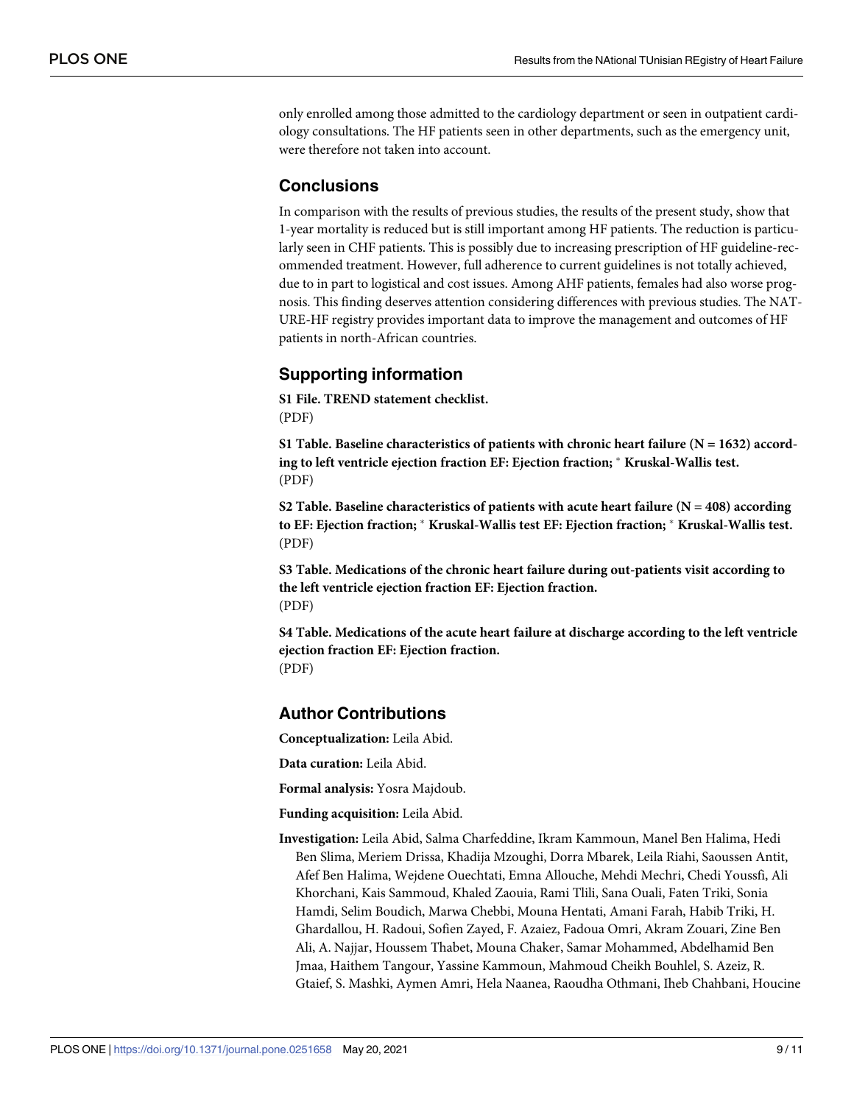only enrolled among those admitted to the cardiology department or seen in outpatient cardiology consultations. The HF patients seen in other departments, such as the emergency unit, were therefore not taken into account.

## **Conclusions**

In comparison with the results of previous studies, the results of the present study, show that 1-year mortality is reduced but is still important among HF patients. The reduction is particularly seen in CHF patients. This is possibly due to increasing prescription of HF guideline-recommended treatment. However, full adherence to current guidelines is not totally achieved, due to in part to logistical and cost issues. Among AHF patients, females had also worse prognosis. This finding deserves attention considering differences with previous studies. The NAT-URE-HF registry provides important data to improve the management and outcomes of HF patients in north-African countries.

# **Supporting information**

**S1 [File.](http://www.plosone.org/article/fetchSingleRepresentation.action?uri=info:doi/10.1371/journal.pone.0251658.s001) TREND statement checklist.** (PDF)

**S1 [Table.](http://www.plosone.org/article/fetchSingleRepresentation.action?uri=info:doi/10.1371/journal.pone.0251658.s002) Baseline characteristics of patients with chronic heart failure (N = 1632) according to left ventricle ejection fraction EF: Ejection fraction;** � **Kruskal-Wallis test.** (PDF)

**S2 [Table.](http://www.plosone.org/article/fetchSingleRepresentation.action?uri=info:doi/10.1371/journal.pone.0251658.s003) Baseline characteristics of patients with acute heart failure (N = 408) according to EF: Ejection fraction;** � **Kruskal-Wallis test EF: Ejection fraction;** � **Kruskal-Wallis test.** (PDF)

**S3 [Table.](http://www.plosone.org/article/fetchSingleRepresentation.action?uri=info:doi/10.1371/journal.pone.0251658.s004) Medications of the chronic heart failure during out-patients visit according to the left ventricle ejection fraction EF: Ejection fraction.** (PDF)

**S4 [Table.](http://www.plosone.org/article/fetchSingleRepresentation.action?uri=info:doi/10.1371/journal.pone.0251658.s005) Medications of the acute heart failure at discharge according to the left ventricle ejection fraction EF: Ejection fraction.** (PDF)

## **Author Contributions**

**Conceptualization:** Leila Abid.

**Data curation:** Leila Abid.

**Formal analysis:** Yosra Majdoub.

**Funding acquisition:** Leila Abid.

**Investigation:** Leila Abid, Salma Charfeddine, Ikram Kammoun, Manel Ben Halima, Hedi Ben Slima, Meriem Drissa, Khadija Mzoughi, Dorra Mbarek, Leila Riahi, Saoussen Antit, Afef Ben Halima, Wejdene Ouechtati, Emna Allouche, Mehdi Mechri, Chedi Youssfi, Ali Khorchani, Kais Sammoud, Khaled Zaouia, Rami Tlili, Sana Ouali, Faten Triki, Sonia Hamdi, Selim Boudich, Marwa Chebbi, Mouna Hentati, Amani Farah, Habib Triki, H. Ghardallou, H. Radoui, Sofien Zayed, F. Azaiez, Fadoua Omri, Akram Zouari, Zine Ben Ali, A. Najjar, Houssem Thabet, Mouna Chaker, Samar Mohammed, Abdelhamid Ben Jmaa, Haithem Tangour, Yassine Kammoun, Mahmoud Cheikh Bouhlel, S. Azeiz, R. Gtaief, S. Mashki, Aymen Amri, Hela Naanea, Raoudha Othmani, Iheb Chahbani, Houcine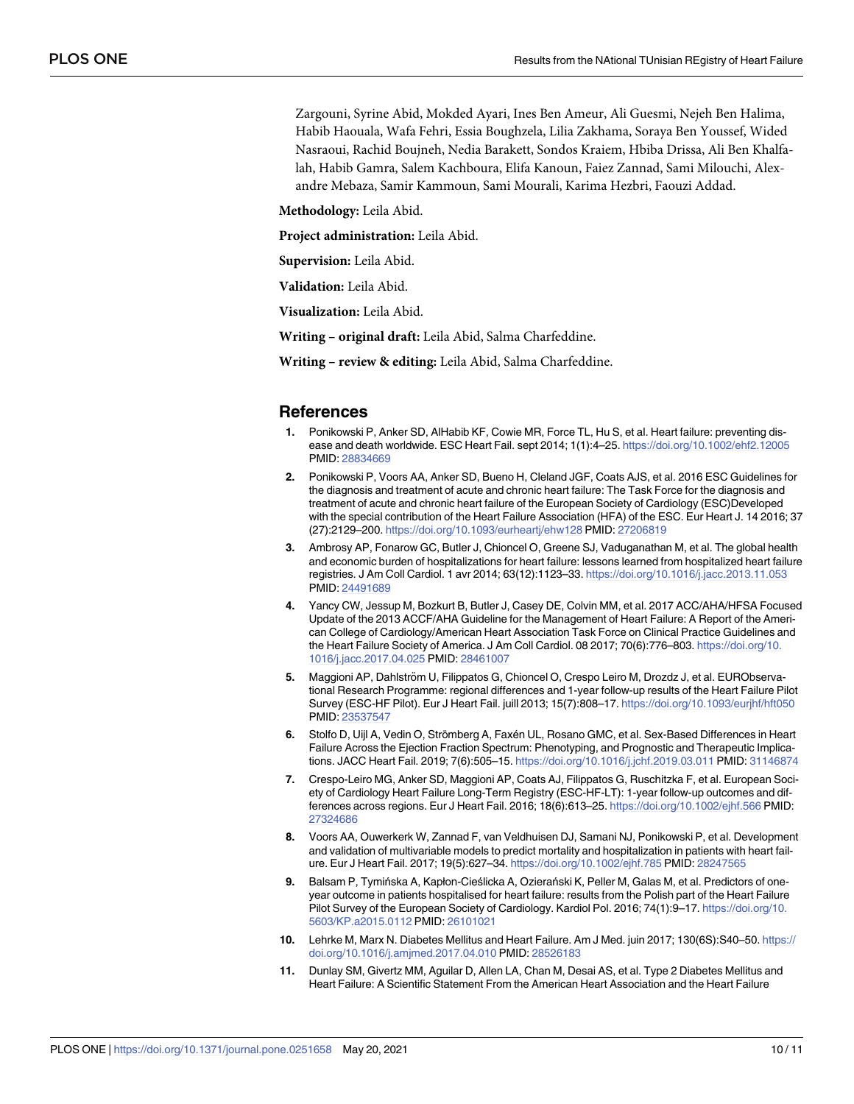<span id="page-9-0"></span>Zargouni, Syrine Abid, Mokded Ayari, Ines Ben Ameur, Ali Guesmi, Nejeh Ben Halima, Habib Haouala, Wafa Fehri, Essia Boughzela, Lilia Zakhama, Soraya Ben Youssef, Wided Nasraoui, Rachid Boujneh, Nedia Barakett, Sondos Kraiem, Hbiba Drissa, Ali Ben Khalfalah, Habib Gamra, Salem Kachboura, Elifa Kanoun, Faiez Zannad, Sami Milouchi, Alexandre Mebaza, Samir Kammoun, Sami Mourali, Karima Hezbri, Faouzi Addad.

**Methodology:** Leila Abid.

**Project administration:** Leila Abid.

**Supervision:** Leila Abid.

**Validation:** Leila Abid.

**Visualization:** Leila Abid.

**Writing – original draft:** Leila Abid, Salma Charfeddine.

**Writing – review & editing:** Leila Abid, Salma Charfeddine.

### **References**

- **[1](#page-1-0).** Ponikowski P, Anker SD, AlHabib KF, Cowie MR, Force TL, Hu S, et al. Heart failure: preventing disease and death worldwide. ESC Heart Fail. sept 2014; 1(1):4–25. <https://doi.org/10.1002/ehf2.12005> PMID: [28834669](http://www.ncbi.nlm.nih.gov/pubmed/28834669)
- **[2](#page-1-0).** Ponikowski P, Voors AA, Anker SD, Bueno H, Cleland JGF, Coats AJS, et al. 2016 ESC Guidelines for the diagnosis and treatment of acute and chronic heart failure: The Task Force for the diagnosis and treatment of acute and chronic heart failure of the European Society of Cardiology (ESC)Developed with the special contribution of the Heart Failure Association (HFA) of the ESC. Eur Heart J. 14 2016; 37 (27):2129–200. <https://doi.org/10.1093/eurheartj/ehw128> PMID: [27206819](http://www.ncbi.nlm.nih.gov/pubmed/27206819)
- **3.** Ambrosy AP, Fonarow GC, Butler J, Chioncel O, Greene SJ, Vaduganathan M, et al. The global health and economic burden of hospitalizations for heart failure: lessons learned from hospitalized heart failure registries. J Am Coll Cardiol. 1 avr 2014; 63(12):1123–33. <https://doi.org/10.1016/j.jacc.2013.11.053> PMID: [24491689](http://www.ncbi.nlm.nih.gov/pubmed/24491689)
- **[4](#page-1-0).** Yancy CW, Jessup M, Bozkurt B, Butler J, Casey DE, Colvin MM, et al. 2017 ACC/AHA/HFSA Focused Update of the 2013 ACCF/AHA Guideline for the Management of Heart Failure: A Report of the American College of Cardiology/American Heart Association Task Force on Clinical Practice Guidelines and the Heart Failure Society of America. J Am Coll Cardiol. 08 2017; 70(6):776–803. [https://doi.org/10.](https://doi.org/10.1016/j.jacc.2017.04.025) [1016/j.jacc.2017.04.025](https://doi.org/10.1016/j.jacc.2017.04.025) PMID: [28461007](http://www.ncbi.nlm.nih.gov/pubmed/28461007)
- **[5](#page-6-0).** Maggioni AP, Dahlström U, Filippatos G, Chioncel O, Crespo Leiro M, Drozdz J, et al. EURObservational Research Programme: regional differences and 1-year follow-up results of the Heart Failure Pilot Survey (ESC-HF Pilot). Eur J Heart Fail. juill 2013; 15(7):808–17. <https://doi.org/10.1093/eurjhf/hft050> PMID: [23537547](http://www.ncbi.nlm.nih.gov/pubmed/23537547)
- **[6](#page-6-0).** Stolfo D, Uijl A, Vedin O, Strömberg A, Faxén UL, Rosano GMC, et al. Sex-Based Differences in Heart Failure Across the Ejection Fraction Spectrum: Phenotyping, and Prognostic and Therapeutic Implications. JACC Heart Fail. 2019; 7(6):505–15. <https://doi.org/10.1016/j.jchf.2019.03.011> PMID: [31146874](http://www.ncbi.nlm.nih.gov/pubmed/31146874)
- **[7](#page-6-0).** Crespo-Leiro MG, Anker SD, Maggioni AP, Coats AJ, Filippatos G, Ruschitzka F, et al. European Society of Cardiology Heart Failure Long-Term Registry (ESC-HF-LT): 1-year follow-up outcomes and differences across regions. Eur J Heart Fail. 2016; 18(6):613–25. <https://doi.org/10.1002/ejhf.566> PMID: [27324686](http://www.ncbi.nlm.nih.gov/pubmed/27324686)
- **8.** Voors AA, Ouwerkerk W, Zannad F, van Veldhuisen DJ, Samani NJ, Ponikowski P, et al. Development and validation of multivariable models to predict mortality and hospitalization in patients with heart failure. Eur J Heart Fail. 2017; 19(5):627–34. <https://doi.org/10.1002/ejhf.785> PMID: [28247565](http://www.ncbi.nlm.nih.gov/pubmed/28247565)
- **9.** Balsam P, Tymińska A, Kapłon-Cieślicka A, Ozierański K, Peller M, Galas M, et al. Predictors of oneyear outcome in patients hospitalised for heart failure: results from the Polish part of the Heart Failure Pilot Survey of the European Society of Cardiology. Kardiol Pol. 2016; 74(1):9–17. [https://doi.org/10.](https://doi.org/10.5603/KP.a2015.0112) [5603/KP.a2015.0112](https://doi.org/10.5603/KP.a2015.0112) PMID: [26101021](http://www.ncbi.nlm.nih.gov/pubmed/26101021)
- **10.** Lehrke M, Marx N. Diabetes Mellitus and Heart Failure. Am J Med. juin 2017; 130(6S):S40–50. [https://](https://doi.org/10.1016/j.amjmed.2017.04.010) [doi.org/10.1016/j.amjmed.2017.04.010](https://doi.org/10.1016/j.amjmed.2017.04.010) PMID: [28526183](http://www.ncbi.nlm.nih.gov/pubmed/28526183)
- **[11](#page-7-0).** Dunlay SM, Givertz MM, Aguilar D, Allen LA, Chan M, Desai AS, et al. Type 2 Diabetes Mellitus and Heart Failure: A Scientific Statement From the American Heart Association and the Heart Failure